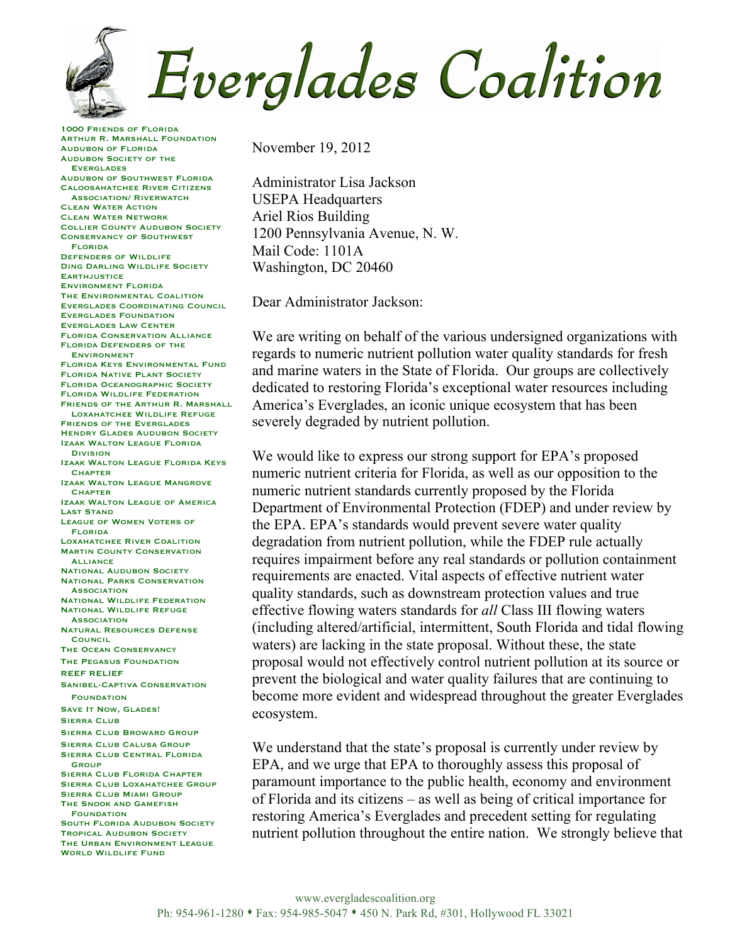Everglades Coalition

1000 Friends of Florida Arthur R. Marshall Foundation Audubon of Florida Audubon Society of the Everglades Audubon of Southwest Florida Caloosahatchee River Citizens Association/ Riverwatch Clean Water Action Clean Water Network Collier County Audubon Society Conservancy of Southwest Florida Defenders of Wildlife Ding Darling Wildlife Society **EARTHJUSTICE** Environment Florida The Environmental Coalition Everglades Coordinating Council Everglades Foundation Everglades Law Center Florida Conservation Alliance Florida Defenders of the Environment Florida Keys Environmental Fund Florida Native Plant Society Florida Oceanographic Society Florida Wildlife Federation FRIENDS OF THE ARTHUR R. MARSHALL. Loxahatchee Wildlife Refuge Friends of the Everglades **HENDRY GLADES AUDUBON SOCIETY** Izaak Walton League Florida **Division** Izaak Walton League Florida Keys **CHAPTER** Izaak Walton League Mangrove **CHAPTER** Izaak Walton League of America Last Stand League of Women Voters of Florida Loxahatchee River Coalition **MARTIN COUNTY CONSERVATION ALLIANCE NATIONAL AUDUBON SOCIETY** National Parks Conservation **ASSOCIATION** National Wildlife Federation National Wildlife Refuge **ASSOCIATION** Natural Resources Defense **COUNCIL** The Ocean Conservancy The Pegasus Foundation REEF RELIEF Sanibel-Captiva Conservation FOUNDATION SAVE IT NOW, GLADES! Sierra Club Sierra Club Broward Group Sierra Club Calusa Group Sierra Club Central Florida **GROUP** Sierra Club Florida Chapter Sierra Club Loxahatchee Group Sierra Club Miami Group The Snook and Gamefish **FOUNDATION** South Florida Audubon Society Tropical Audubon Society THE URBAN ENVIRONMENT LEAGUE WORLD WILDLIFE FUND

November 19, 2012

Administrator Lisa Jackson USEPA Headquarters Ariel Rios Building 1200 Pennsylvania Avenue, N. W. Mail Code: 1101A Washington, DC 20460

Dear Administrator Jackson:

We are writing on behalf of the various undersigned organizations with regards to numeric nutrient pollution water quality standards for fresh and marine waters in the State of Florida. Our groups are collectively dedicated to restoring Florida's exceptional water resources including America's Everglades, an iconic unique ecosystem that has been severely degraded by nutrient pollution.

We would like to express our strong support for EPA's proposed numeric nutrient criteria for Florida, as well as our opposition to the numeric nutrient standards currently proposed by the Florida Department of Environmental Protection (FDEP) and under review by the EPA. EPA's standards would prevent severe water quality degradation from nutrient pollution, while the FDEP rule actually requires impairment before any real standards or pollution containment requirements are enacted. Vital aspects of effective nutrient water quality standards, such as downstream protection values and true effective flowing waters standards for *all* Class III flowing waters (including altered/artificial, intermittent, South Florida and tidal flowing waters) are lacking in the state proposal. Without these, the state proposal would not effectively control nutrient pollution at its source or prevent the biological and water quality failures that are continuing to become more evident and widespread throughout the greater Everglades ecosystem.

We understand that the state's proposal is currently under review by EPA, and we urge that EPA to thoroughly assess this proposal of paramount importance to the public health, economy and environment of Florida and its citizens – as well as being of critical importance for restoring America's Everglades and precedent setting for regulating nutrient pollution throughout the entire nation. We strongly believe that